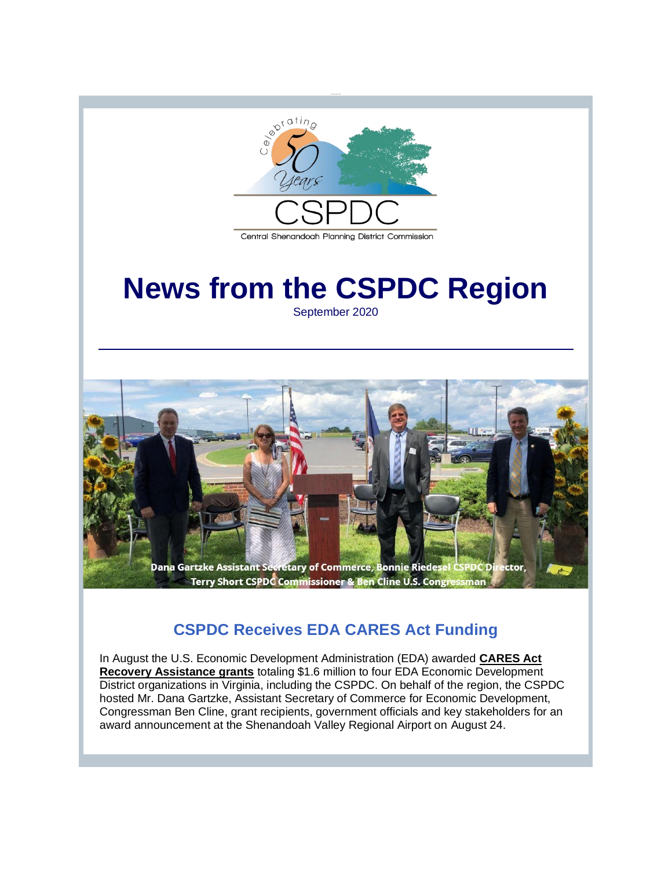

#### Central Shenandoah Planning District Commission

# **News from the CSPDC Region**

September 2020



## **CSPDC Receives EDA CARES Act Funding**

In August the U.S. Economic Development Administration (EDA) awarded **[CARES Act](http://r20.rs6.net/tn.jsp?f=001ZEvPurtkwrQ1Hm7-kVyU-QUuDoTPIZ7uOJGRc6YmlIdVSJmZ1MHjBA9GSaR789gFyp4RNEc0HqWAHlId8Iq1uzrNQiySgrfy7B-WeQPwPikAo0Jc_TUl_M0UxjmI7exhocj3lgVs8rDv2JTrO-GAoCNfDTjkHuxPv1rBxtN_I8Ke54354Hfi-k51qHfvRYL2bfpZ37xAny8=&c=rbBXjlMIzw0JE9QDrGjH5jodhCFatcsio4waFpxwXYX4fkHTVwArjg==&ch=ksfNTIkw9O5cs9QGOU2oNV_20Bb0hNtevfU4QmISfyvBIURYVbrX1g==)  [Recovery Assistance grants](http://r20.rs6.net/tn.jsp?f=001ZEvPurtkwrQ1Hm7-kVyU-QUuDoTPIZ7uOJGRc6YmlIdVSJmZ1MHjBA9GSaR789gFyp4RNEc0HqWAHlId8Iq1uzrNQiySgrfy7B-WeQPwPikAo0Jc_TUl_M0UxjmI7exhocj3lgVs8rDv2JTrO-GAoCNfDTjkHuxPv1rBxtN_I8Ke54354Hfi-k51qHfvRYL2bfpZ37xAny8=&c=rbBXjlMIzw0JE9QDrGjH5jodhCFatcsio4waFpxwXYX4fkHTVwArjg==&ch=ksfNTIkw9O5cs9QGOU2oNV_20Bb0hNtevfU4QmISfyvBIURYVbrX1g==)** totaling \$1.6 million to four EDA Economic Development District organizations in Virginia, including the CSPDC. On behalf of the region, the CSPDC hosted Mr. Dana Gartzke, Assistant Secretary of Commerce for Economic Development, Congressman Ben Cline, grant recipients, government officials and key stakeholders for an award announcement at the Shenandoah Valley Regional Airport on August 24.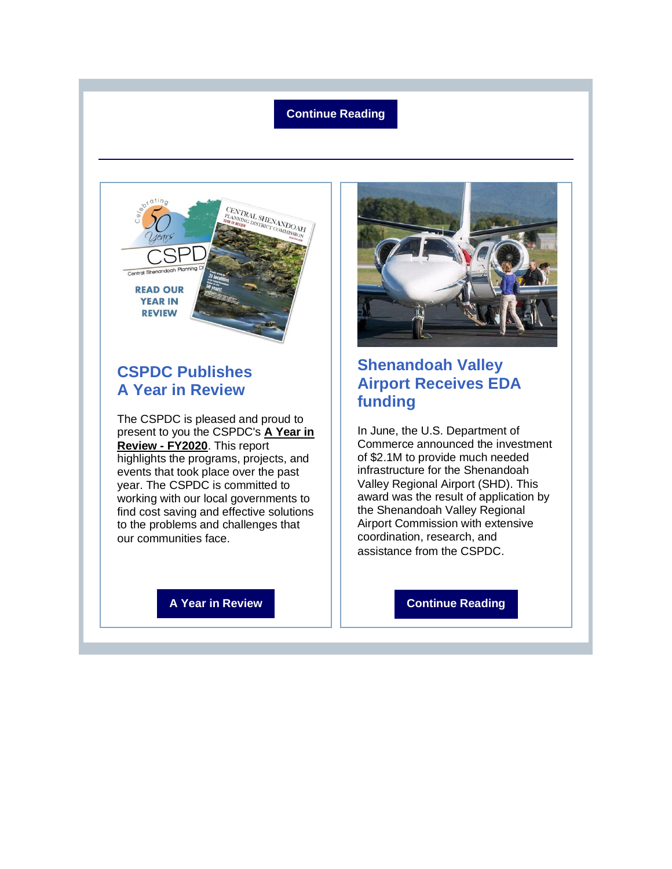#### **[Continue Reading](http://r20.rs6.net/tn.jsp?f=001ZEvPurtkwrQ1Hm7-kVyU-QUuDoTPIZ7uOJGRc6YmlIdVSJmZ1MHjBA9GSaR789gF_2n6d0xUW_cqqeyhlSzIPVIoRNS87wwmDJ3vBkjl5XsXqEDSOrEC7dYlgwAoty5pRRMhocM4jdUVKjKGtZNt773e4Pt-blzel3vK3l_SYLgF_VsrcPC2CJU1suthrkQrYx96JBIs-JR2Uub9Pp7M4Q==&c=rbBXjlMIzw0JE9QDrGjH5jodhCFatcsio4waFpxwXYX4fkHTVwArjg==&ch=ksfNTIkw9O5cs9QGOU2oNV_20Bb0hNtevfU4QmISfyvBIURYVbrX1g==)**



## **CSPDC Publishes A Year in Review**

The CSPDC is pleased and proud to present to you the CSPDC's **[A Year in](http://r20.rs6.net/tn.jsp?f=001ZEvPurtkwrQ1Hm7-kVyU-QUuDoTPIZ7uOJGRc6YmlIdVSJmZ1MHjBDnzLU6IvIP-Poec7wo2ylPuybgGtqMqjmTuWzQ-hy99n81HoOfhUBEPjhrmObnhhtoX9ktTt1kSl2Fc1w4eL-dJXj13eEHsPBi8GCu4YROFuRIMJOujBD1VM-nk0dnXqrGAQjfYjP81ESe0Ygi0r5m_0Bbou3A5ji-pma32TBxAw6EiPV5dqqM=&c=rbBXjlMIzw0JE9QDrGjH5jodhCFatcsio4waFpxwXYX4fkHTVwArjg==&ch=ksfNTIkw9O5cs9QGOU2oNV_20Bb0hNtevfU4QmISfyvBIURYVbrX1g==)  [Review -](http://r20.rs6.net/tn.jsp?f=001ZEvPurtkwrQ1Hm7-kVyU-QUuDoTPIZ7uOJGRc6YmlIdVSJmZ1MHjBDnzLU6IvIP-Poec7wo2ylPuybgGtqMqjmTuWzQ-hy99n81HoOfhUBEPjhrmObnhhtoX9ktTt1kSl2Fc1w4eL-dJXj13eEHsPBi8GCu4YROFuRIMJOujBD1VM-nk0dnXqrGAQjfYjP81ESe0Ygi0r5m_0Bbou3A5ji-pma32TBxAw6EiPV5dqqM=&c=rbBXjlMIzw0JE9QDrGjH5jodhCFatcsio4waFpxwXYX4fkHTVwArjg==&ch=ksfNTIkw9O5cs9QGOU2oNV_20Bb0hNtevfU4QmISfyvBIURYVbrX1g==) FY2020**. This report highlights the programs, projects, and events that took place over the past year. The CSPDC is committed to working with our local governments to find cost saving and effective solutions to the problems and challenges that our communities face.

**[A Year in Review](http://r20.rs6.net/tn.jsp?f=001ZEvPurtkwrQ1Hm7-kVyU-QUuDoTPIZ7uOJGRc6YmlIdVSJmZ1MHjBDnzLU6IvIP-Poec7wo2ylPuybgGtqMqjmTuWzQ-hy99n81HoOfhUBEPjhrmObnhhtoX9ktTt1kSl2Fc1w4eL-dJXj13eEHsPBi8GCu4YROFuRIMJOujBD1VM-nk0dnXqrGAQjfYjP81ESe0Ygi0r5m_0Bbou3A5ji-pma32TBxAw6EiPV5dqqM=&c=rbBXjlMIzw0JE9QDrGjH5jodhCFatcsio4waFpxwXYX4fkHTVwArjg==&ch=ksfNTIkw9O5cs9QGOU2oNV_20Bb0hNtevfU4QmISfyvBIURYVbrX1g==)**



## **Shenandoah Valley Airport Receives EDA funding**

In June, the U.S. Department of Commerce announced the investment of \$2.1M to provide much needed infrastructure for the Shenandoah Valley Regional Airport (SHD). This award was the result of application by the Shenandoah Valley Regional Airport Commission with extensive coordination, research, and assistance from the CSPDC.

**[Continue Reading](http://r20.rs6.net/tn.jsp?f=001ZEvPurtkwrQ1Hm7-kVyU-QUuDoTPIZ7uOJGRc6YmlIdVSJmZ1MHjBA9GSaR789gF2pfNEfAv-2VutdWbZJcQF2eCxM7_O6YxcPMQX5_d45y4RTasujx9ExMvuKFttqWaO-gJUtGOzuVluUDpC5P9baFLJidh-GzyKZTp7klA_BmiTzYuU2Y8PM2Bb88ma_F3gW_DW6A6-kAaKoWf5UrpxwLgMZPJWXh55S2fTGPBIE8=&c=rbBXjlMIzw0JE9QDrGjH5jodhCFatcsio4waFpxwXYX4fkHTVwArjg==&ch=ksfNTIkw9O5cs9QGOU2oNV_20Bb0hNtevfU4QmISfyvBIURYVbrX1g==)**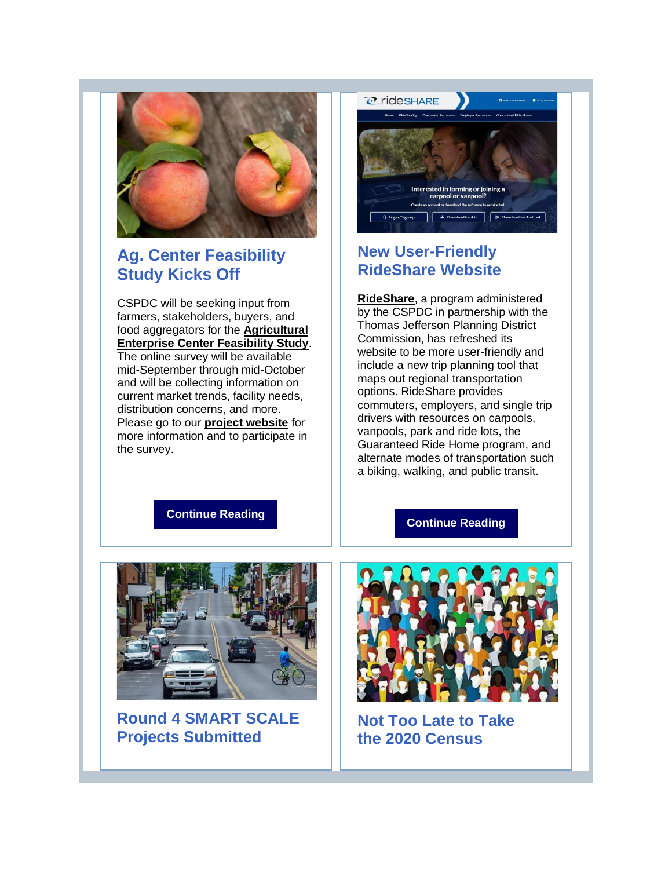

## **Ag. Center Feasibility Study Kicks Off**

CSPDC will be seeking input from farmers, stakeholders, buyers, and food aggregators for the **[Agricultural](http://r20.rs6.net/tn.jsp?f=001ZEvPurtkwrQ1Hm7-kVyU-QUuDoTPIZ7uOJGRc6YmlIdVSJmZ1MHjBA9GSaR789gFYf1reW572nYyoALBAuEkEn1RGdi_sQrT2XGK4Y2Qf9bMcFjWuQMkqtN7ojsP4qjpnNKk5NNxilmApNbjgK4abg==&c=rbBXjlMIzw0JE9QDrGjH5jodhCFatcsio4waFpxwXYX4fkHTVwArjg==&ch=ksfNTIkw9O5cs9QGOU2oNV_20Bb0hNtevfU4QmISfyvBIURYVbrX1g==)  [Enterprise Center Feasibility Study](http://r20.rs6.net/tn.jsp?f=001ZEvPurtkwrQ1Hm7-kVyU-QUuDoTPIZ7uOJGRc6YmlIdVSJmZ1MHjBA9GSaR789gFYf1reW572nYyoALBAuEkEn1RGdi_sQrT2XGK4Y2Qf9bMcFjWuQMkqtN7ojsP4qjpnNKk5NNxilmApNbjgK4abg==&c=rbBXjlMIzw0JE9QDrGjH5jodhCFatcsio4waFpxwXYX4fkHTVwArjg==&ch=ksfNTIkw9O5cs9QGOU2oNV_20Bb0hNtevfU4QmISfyvBIURYVbrX1g==)**. The online survey will be available mid-September through mid-October and will be collecting information on current market trends, facility needs, distribution concerns, and more. Please go to our **[project website](http://r20.rs6.net/tn.jsp?f=001ZEvPurtkwrQ1Hm7-kVyU-QUuDoTPIZ7uOJGRc6YmlIdVSJmZ1MHjBA9GSaR789gFYf1reW572nYyoALBAuEkEn1RGdi_sQrT2XGK4Y2Qf9bMcFjWuQMkqtN7ojsP4qjpnNKk5NNxilmApNbjgK4abg==&c=rbBXjlMIzw0JE9QDrGjH5jodhCFatcsio4waFpxwXYX4fkHTVwArjg==&ch=ksfNTIkw9O5cs9QGOU2oNV_20Bb0hNtevfU4QmISfyvBIURYVbrX1g==)** for more information and to participate in the survey.



## **New User-Friendly RideShare Website**

**[RideShare](http://r20.rs6.net/tn.jsp?f=001ZEvPurtkwrQ1Hm7-kVyU-QUuDoTPIZ7uOJGRc6YmlIdVSJmZ1MHjBLeubTGk3-mxzVlzsmy2U733yGLZiPqtkEIZURZpfJhrERPo1Zll6vKl55xlvKoM3UJg4o72ddqMXJhUgXE37WwHJbQj_WcGDg==&c=rbBXjlMIzw0JE9QDrGjH5jodhCFatcsio4waFpxwXYX4fkHTVwArjg==&ch=ksfNTIkw9O5cs9QGOU2oNV_20Bb0hNtevfU4QmISfyvBIURYVbrX1g==)**, a program administered by the CSPDC in partnership with the Thomas Jefferson Planning District Commission, has refreshed its website to be more user-friendly and include a new trip planning tool that maps out regional transportation options. RideShare provides commuters, employers, and single trip drivers with resources on carpools, vanpools, park and ride lots, the Guaranteed Ride Home program, and alternate modes of transportation such a biking, walking, and public transit.

#### **[Continue Reading](http://r20.rs6.net/tn.jsp?f=001ZEvPurtkwrQ1Hm7-kVyU-QUuDoTPIZ7uOJGRc6YmlIdVSJmZ1MHjBA9GSaR789gFLYAb4-W2NVITxTK1qPENTIin8MuGt8dHfUU7OGq7Wp8-u3iyMx9n0aIrATVWSvG4coDO76o5bx0Xtijn1BFt3GddErHmH_svAINxx8nS9nuxUB6PFoo3BK-WoYkjgY_g2bfWksTj7Si_y4hyuwyY_7VR-QNeCfCJ&c=rbBXjlMIzw0JE9QDrGjH5jodhCFatcsio4waFpxwXYX4fkHTVwArjg==&ch=ksfNTIkw9O5cs9QGOU2oNV_20Bb0hNtevfU4QmISfyvBIURYVbrX1g==)**

#### **[Continue Reading](http://r20.rs6.net/tn.jsp?f=001ZEvPurtkwrQ1Hm7-kVyU-QUuDoTPIZ7uOJGRc6YmlIdVSJmZ1MHjBA9GSaR789gF50dco-4GWlwum4XGQjT_Hm2uiZNSfE99mREY4LzXaWtBwYI1ux3uBmXsW4lWsMS_aoJIzjKvbJxsl1IbeSC4LMI1Ubp76AsNYz3SHGfG5gVe5myzgagQXuqBkPEMU7qhJ3iRKV27oO60MRTQyqRN0g==&c=rbBXjlMIzw0JE9QDrGjH5jodhCFatcsio4waFpxwXYX4fkHTVwArjg==&ch=ksfNTIkw9O5cs9QGOU2oNV_20Bb0hNtevfU4QmISfyvBIURYVbrX1g==)**



**Round 4 SMART SCALE Projects Submitted**



**Not Too Late to Take the 2020 Census**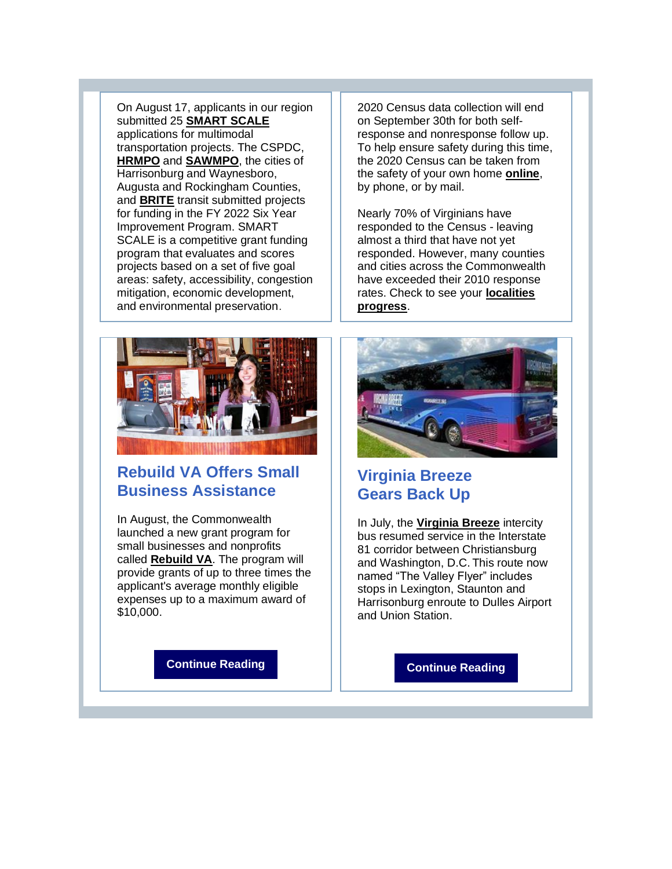On August 17, applicants in our region submitted 25 **[SMART SCALE](http://r20.rs6.net/tn.jsp?f=001ZEvPurtkwrQ1Hm7-kVyU-QUuDoTPIZ7uOJGRc6YmlIdVSJmZ1MHjBPIv6QVeO11HPUnUjL6X4UmJSO3jjt5LKzn8fEkhVJoWs5-fIfWUVW_ay8tiZfsgxFelUT_SMhTv-JlbVKk8N_2IgBSto2gMVQ==&c=rbBXjlMIzw0JE9QDrGjH5jodhCFatcsio4waFpxwXYX4fkHTVwArjg==&ch=ksfNTIkw9O5cs9QGOU2oNV_20Bb0hNtevfU4QmISfyvBIURYVbrX1g==)** applications for multimodal transportation projects. The CSPDC, **[HRMPO](http://r20.rs6.net/tn.jsp?f=001ZEvPurtkwrQ1Hm7-kVyU-QUuDoTPIZ7uOJGRc6YmlIdVSJmZ1MHjBJwyOoojyCD-MFQWjn01P3x64GQaTYt5wu4pRjtWaNZNio84kTivBwGGxAYUV2aYdkm7H-JImDzUuMVt2ODWME3FK9PwhFIQcw==&c=rbBXjlMIzw0JE9QDrGjH5jodhCFatcsio4waFpxwXYX4fkHTVwArjg==&ch=ksfNTIkw9O5cs9QGOU2oNV_20Bb0hNtevfU4QmISfyvBIURYVbrX1g==)** and **[SAWMPO](http://r20.rs6.net/tn.jsp?f=001ZEvPurtkwrQ1Hm7-kVyU-QUuDoTPIZ7uOJGRc6YmlIdVSJmZ1MHjBJwyOoojyCD-lJ6rCqRV716C1Hbcn4FTAMZpGWgHKYF6mFn2DqK3EHtleTybg8WLO0HRJjv-XNt3Yd2lyz13gLWz8PNpCDaNww==&c=rbBXjlMIzw0JE9QDrGjH5jodhCFatcsio4waFpxwXYX4fkHTVwArjg==&ch=ksfNTIkw9O5cs9QGOU2oNV_20Bb0hNtevfU4QmISfyvBIURYVbrX1g==)**, the cities of Harrisonburg and Waynesboro, Augusta and Rockingham Counties, and **[BRITE](http://r20.rs6.net/tn.jsp?f=001ZEvPurtkwrQ1Hm7-kVyU-QUuDoTPIZ7uOJGRc6YmlIdVSJmZ1MHjBCYpX1Fp-52hsoprF-rXxF9mZk_w9ldNCvukBBekBTBkxwbZsykar06f0QWH1gu7910k_K7SdqA2AdTh5XLgN4Fuz6s9dKifxg==&c=rbBXjlMIzw0JE9QDrGjH5jodhCFatcsio4waFpxwXYX4fkHTVwArjg==&ch=ksfNTIkw9O5cs9QGOU2oNV_20Bb0hNtevfU4QmISfyvBIURYVbrX1g==)** transit submitted projects for funding in the FY 2022 Six Year Improvement Program. SMART SCALE is a competitive grant funding program that evaluates and scores projects based on a set of five goal areas: safety, accessibility, congestion mitigation, economic development, and environmental preservation.



## **Rebuild VA Offers Small Business Assistance**

In August, the Commonwealth launched a new grant program for small businesses and nonprofits called **[Rebuild VA](http://r20.rs6.net/tn.jsp?f=001ZEvPurtkwrQ1Hm7-kVyU-QUuDoTPIZ7uOJGRc6YmlIdVSJmZ1MHjBA9GSaR789gFIMZZMmyplcCnOimGvOdy-GER8qFV9xNHgBbGyLwzuMCCTT5I3j9qBA-E_GWypmXctnLkXNF5ee0FBjL9TeOgdApwUi8qRIKzUQVn7T3Q0M8=&c=rbBXjlMIzw0JE9QDrGjH5jodhCFatcsio4waFpxwXYX4fkHTVwArjg==&ch=ksfNTIkw9O5cs9QGOU2oNV_20Bb0hNtevfU4QmISfyvBIURYVbrX1g==)**. The program will provide grants of up to three times the applicant's average monthly eligible expenses up to a maximum award of \$10,000.

on September 30th for both selfresponse and nonresponse follow up. To help ensure safety during this time, the 2020 Census can be taken from the safety of your own home **[online](http://r20.rs6.net/tn.jsp?f=001ZEvPurtkwrQ1Hm7-kVyU-QUuDoTPIZ7uOJGRc6YmlIdVSJmZ1MHjBD6O6E3_T6VSiIjnlgE430gdHp14KRG10hRr9Y6jYAe71LmGaO4wuprPz1KWI6NiP0GaUcZPjBtyL3HE0xaCkVJU7gIwoHRPVg==&c=rbBXjlMIzw0JE9QDrGjH5jodhCFatcsio4waFpxwXYX4fkHTVwArjg==&ch=ksfNTIkw9O5cs9QGOU2oNV_20Bb0hNtevfU4QmISfyvBIURYVbrX1g==)**, by phone, or by mail.

2020 Census data collection will end

Nearly 70% of Virginians have responded to the Census - leaving almost a third that have not yet responded. However, many counties and cities across the Commonwealth have exceeded their 2010 response rates. Check to see your **[localities](http://r20.rs6.net/tn.jsp?f=001ZEvPurtkwrQ1Hm7-kVyU-QUuDoTPIZ7uOJGRc6YmlIdVSJmZ1MHjBKYVuyWyMMFp9lo_b3UoYi9-DRogkJ99raDMGuEptI1P_uvrRBO4G9M8oTP3mOqwNoNBMaS60Bwv2PCwQTBS2EmqVF0Y86S_fGP9MMmm7wb_L-dKQBCXRxymjwB-dvrbMg==&c=rbBXjlMIzw0JE9QDrGjH5jodhCFatcsio4waFpxwXYX4fkHTVwArjg==&ch=ksfNTIkw9O5cs9QGOU2oNV_20Bb0hNtevfU4QmISfyvBIURYVbrX1g==)  [progress](http://r20.rs6.net/tn.jsp?f=001ZEvPurtkwrQ1Hm7-kVyU-QUuDoTPIZ7uOJGRc6YmlIdVSJmZ1MHjBKYVuyWyMMFp9lo_b3UoYi9-DRogkJ99raDMGuEptI1P_uvrRBO4G9M8oTP3mOqwNoNBMaS60Bwv2PCwQTBS2EmqVF0Y86S_fGP9MMmm7wb_L-dKQBCXRxymjwB-dvrbMg==&c=rbBXjlMIzw0JE9QDrGjH5jodhCFatcsio4waFpxwXYX4fkHTVwArjg==&ch=ksfNTIkw9O5cs9QGOU2oNV_20Bb0hNtevfU4QmISfyvBIURYVbrX1g==)**.



## **Virginia Breeze Gears Back Up**

In July, the **[Virginia Breeze](http://r20.rs6.net/tn.jsp?f=001ZEvPurtkwrQ1Hm7-kVyU-QUuDoTPIZ7uOJGRc6YmlIdVSJmZ1MHjBAlXW6a_7XoIQdEN04KilIQNnlCxXBne0wZ_KC-8olZz0JMpL8fi39Vvc_5hbQJRyAlqoqWtzK7Bg1fanW63G1_abZrJ7w6MTQ==&c=rbBXjlMIzw0JE9QDrGjH5jodhCFatcsio4waFpxwXYX4fkHTVwArjg==&ch=ksfNTIkw9O5cs9QGOU2oNV_20Bb0hNtevfU4QmISfyvBIURYVbrX1g==)** intercity bus resumed service in the Interstate 81 corridor between Christiansburg and Washington, D.C. This route now named "The Valley Flyer" includes stops in Lexington, Staunton and Harrisonburg enroute to Dulles Airport and Union Station.

**[Continue Reading](http://r20.rs6.net/tn.jsp?f=001ZEvPurtkwrQ1Hm7-kVyU-QUuDoTPIZ7uOJGRc6YmlIdVSJmZ1MHjBA9GSaR789gFmL7LqEQmn1oz1bHJIwwGOd6MOsylVnzU9dnAIts80R5blwKRmt7q1p6YSRo4DNiB2mZgwsy1iQjJRnmj1QxaE-_d2sktX5Q4BJL1IkfqxQVNDiWV31Ehv1-ITaziumjizoot-fIt1rEsNzzUUo0Cjq3yMXbChJhv&c=rbBXjlMIzw0JE9QDrGjH5jodhCFatcsio4waFpxwXYX4fkHTVwArjg==&ch=ksfNTIkw9O5cs9QGOU2oNV_20Bb0hNtevfU4QmISfyvBIURYVbrX1g==)**

**[Continue Reading](http://r20.rs6.net/tn.jsp?f=001ZEvPurtkwrQ1Hm7-kVyU-QUuDoTPIZ7uOJGRc6YmlIdVSJmZ1MHjBA9GSaR789gFB6eCNce8aLNfeekAGIO1dAGphLMm-UdSENJHzfcPkoWSFLCX5_lOpuY0QHP1ER5qATwMhPvDOQAxca2zYcOsCjUt3Ed4-m0iJTjtYEQE0hrAoD0iamiiTpxxVq8AB0ZN9UlvHDnZz1FWP81A0HIzrw==&c=rbBXjlMIzw0JE9QDrGjH5jodhCFatcsio4waFpxwXYX4fkHTVwArjg==&ch=ksfNTIkw9O5cs9QGOU2oNV_20Bb0hNtevfU4QmISfyvBIURYVbrX1g==)**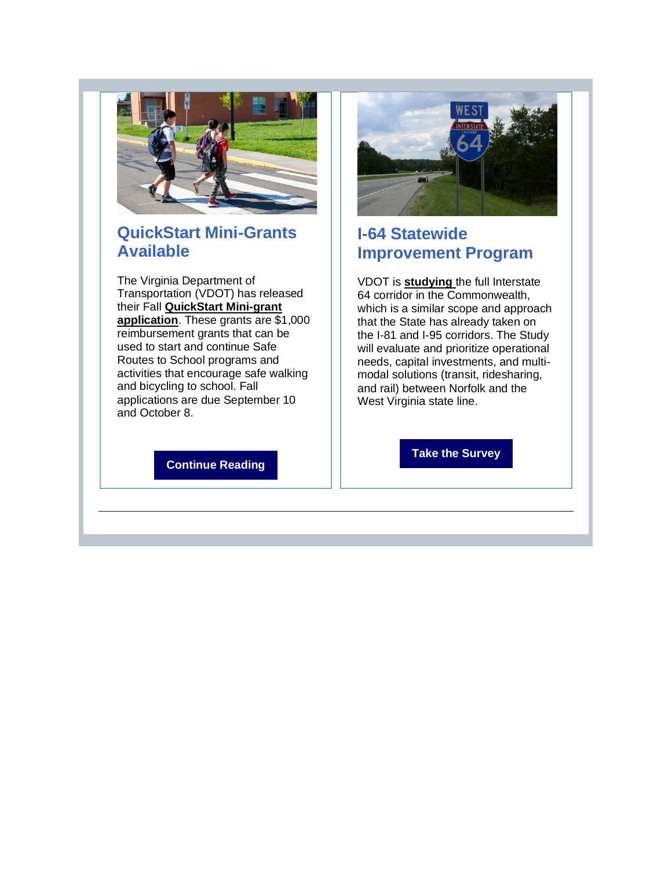

## **QuickStart Mini-Grants Available**

The Virginia Department of Transportation (VDOT) has released their Fall **[QuickStart Mini-grant](http://r20.rs6.net/tn.jsp?f=001ZEvPurtkwrQ1Hm7-kVyU-QUuDoTPIZ7uOJGRc6YmlIdVSJmZ1MHjBA9GSaR789gFZ_xX1btuZloPl-z3qm-ObQqCz87MBaqm-05_NjM4CjJgK7HnNX-o2AERZYtQx9ejtDe0mJuHB9LB-a0Ss7UpRWvoOGRLnTCu_qi84V45ULpUJGHNMqRR1FXUvENmxcRmSLiKMaJWbD9O8C3quOCt3A==&c=rbBXjlMIzw0JE9QDrGjH5jodhCFatcsio4waFpxwXYX4fkHTVwArjg==&ch=ksfNTIkw9O5cs9QGOU2oNV_20Bb0hNtevfU4QmISfyvBIURYVbrX1g==)  [application](http://r20.rs6.net/tn.jsp?f=001ZEvPurtkwrQ1Hm7-kVyU-QUuDoTPIZ7uOJGRc6YmlIdVSJmZ1MHjBA9GSaR789gFZ_xX1btuZloPl-z3qm-ObQqCz87MBaqm-05_NjM4CjJgK7HnNX-o2AERZYtQx9ejtDe0mJuHB9LB-a0Ss7UpRWvoOGRLnTCu_qi84V45ULpUJGHNMqRR1FXUvENmxcRmSLiKMaJWbD9O8C3quOCt3A==&c=rbBXjlMIzw0JE9QDrGjH5jodhCFatcsio4waFpxwXYX4fkHTVwArjg==&ch=ksfNTIkw9O5cs9QGOU2oNV_20Bb0hNtevfU4QmISfyvBIURYVbrX1g==)**. These grants are \$1,000 reimbursement grants that can be used to start and continue Safe Routes to School programs and activities that encourage safe walking and bicycling to school. Fall applications are due September 10 and October 8.

**[Continue Reading](http://r20.rs6.net/tn.jsp?f=001ZEvPurtkwrQ1Hm7-kVyU-QUuDoTPIZ7uOJGRc6YmlIdVSJmZ1MHjBA9GSaR789gF6iZb1aEogrXhSqJ-dYxQl8-t7QUjANr2662Q4QFQ5XZe8PPW9aq9kp-qhaIaeLXbAxnOwA9EUkyGurJ24mgsxmFAbD-KlBdKyk8BvfN4gAeGC6GNIqpHxxeD5FsdtwcJe0HcnIdJ6pGnRvDh3jIxDg==&c=rbBXjlMIzw0JE9QDrGjH5jodhCFatcsio4waFpxwXYX4fkHTVwArjg==&ch=ksfNTIkw9O5cs9QGOU2oNV_20Bb0hNtevfU4QmISfyvBIURYVbrX1g==)**



## **I-64 Statewide Improvement Program**

VDOT is **[studying](http://r20.rs6.net/tn.jsp?f=001ZEvPurtkwrQ1Hm7-kVyU-QUuDoTPIZ7uOJGRc6YmlIdVSJmZ1MHjBA9GSaR789gFVO-kR62PUoSmwHyAsf7lTBMJ0kjyxuStZGp4_6hY6lL2ZR7hM-Ue_ARgWWgkfrZHerP1Du5Sa_sAwZCCG-IuhYjXxXIFQ-C5htGl1IFzEpPhO2nZucWKBTZWzehkSFOr5MLN_uVQA4M=&c=rbBXjlMIzw0JE9QDrGjH5jodhCFatcsio4waFpxwXYX4fkHTVwArjg==&ch=ksfNTIkw9O5cs9QGOU2oNV_20Bb0hNtevfU4QmISfyvBIURYVbrX1g==)** the full Interstate 64 corridor in the Commonwealth, which is a similar scope and approach that the State has already taken on the I-81 and I-95 corridors. The Study will evaluate and prioritize operational needs, capital investments, and multimodal solutions (transit, ridesharing, and rail) between Norfolk and the West Virginia state line.

**[Take the Survey](http://r20.rs6.net/tn.jsp?f=001ZEvPurtkwrQ1Hm7-kVyU-QUuDoTPIZ7uOJGRc6YmlIdVSJmZ1MHjBA9GSaR789gFW1WfOJ--f922BqXtdR0A16tZPlJYM_ayTYHm1VzvHHzwfjuYzvLKnd9amTEJWZRAsaC_lvgFLgWUZrv9_lkPkS7PL720dYQ-x8D2orLX5B-qml-mqmmEag==&c=rbBXjlMIzw0JE9QDrGjH5jodhCFatcsio4waFpxwXYX4fkHTVwArjg==&ch=ksfNTIkw9O5cs9QGOU2oNV_20Bb0hNtevfU4QmISfyvBIURYVbrX1g==)**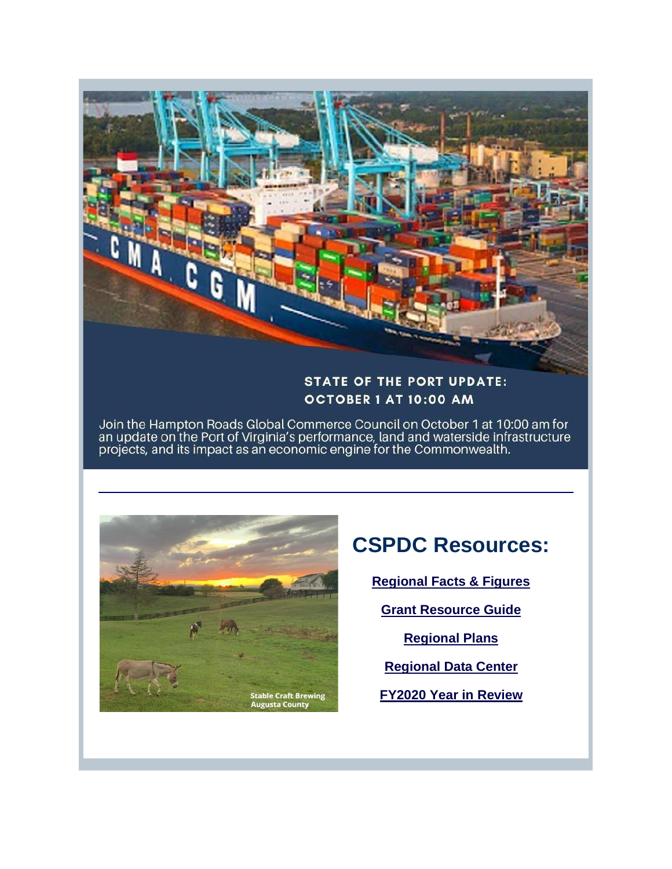

### **STATE OF THE PORT UPDATE:** OCTOBER 1 AT 10:00 AM

Join the Hampton Roads Global Commerce Council on October 1 at 10:00 am for<br>an update on the Port of Virginia's performance, land and waterside infrastructure<br>projects, and its impact as an economic engine for the Commonwe



## **CSPDC Resources:**

**[Regional Facts & Figures](http://r20.rs6.net/tn.jsp?f=001ZEvPurtkwrQ1Hm7-kVyU-QUuDoTPIZ7uOJGRc6YmlIdVSJmZ1MHjBBKZacsYhiUu8oZXbbDQQMJCzNGYyuyoQKRzMo_-y4BQC7bkbbbie6ynppQts_6T1GDVDc_yCgesHcPTddizI3IVr-lnJ1xo9STb98o_npoW&c=rbBXjlMIzw0JE9QDrGjH5jodhCFatcsio4waFpxwXYX4fkHTVwArjg==&ch=ksfNTIkw9O5cs9QGOU2oNV_20Bb0hNtevfU4QmISfyvBIURYVbrX1g==)** 

**[Grant Resource Guide](http://r20.rs6.net/tn.jsp?f=001ZEvPurtkwrQ1Hm7-kVyU-QUuDoTPIZ7uOJGRc6YmlIdVSJmZ1MHjBD6O6E3_T6VSuO2H6jWcbW35aTY5TLGIw1seY7KMlvGRb-ZmbxT7vmvedpzgrOq9lbj81v-JGTqnMVrBYoSDBfkRI8tLfJhoXSbyfKPJ0jDKhFZxWhbe6nM=&c=rbBXjlMIzw0JE9QDrGjH5jodhCFatcsio4waFpxwXYX4fkHTVwArjg==&ch=ksfNTIkw9O5cs9QGOU2oNV_20Bb0hNtevfU4QmISfyvBIURYVbrX1g==)** 

**[Regional Plans](http://r20.rs6.net/tn.jsp?f=001ZEvPurtkwrQ1Hm7-kVyU-QUuDoTPIZ7uOJGRc6YmlIdVSJmZ1MHjBBFl40AW6OaUcmtFZ9qlYczHBP9Sk7hLoBGLo8_XM1P50ZB9yhIz2az34IjegrlkrGpUzBkw2MO14vMySk2g_agCrnon-ixLCuiu-adrFhzp&c=rbBXjlMIzw0JE9QDrGjH5jodhCFatcsio4waFpxwXYX4fkHTVwArjg==&ch=ksfNTIkw9O5cs9QGOU2oNV_20Bb0hNtevfU4QmISfyvBIURYVbrX1g==)** 

**[Regional Data Center](http://r20.rs6.net/tn.jsp?f=001ZEvPurtkwrQ1Hm7-kVyU-QUuDoTPIZ7uOJGRc6YmlIdVSJmZ1MHjBBFl40AW6OaU-2k07Z0TmuRzw-1dzoTfZ3mF8uQ88JQd-lD0yF-J-FK8rpm-K-67kGojGcyHPiZFqmjNt7HUxOF1DbeBL3r5kus27QCVKXt5&c=rbBXjlMIzw0JE9QDrGjH5jodhCFatcsio4waFpxwXYX4fkHTVwArjg==&ch=ksfNTIkw9O5cs9QGOU2oNV_20Bb0hNtevfU4QmISfyvBIURYVbrX1g==)**

**[FY2020 Year in Review](http://r20.rs6.net/tn.jsp?f=001ZEvPurtkwrQ1Hm7-kVyU-QUuDoTPIZ7uOJGRc6YmlIdVSJmZ1MHjBDnzLU6IvIP-Poec7wo2ylPuybgGtqMqjmTuWzQ-hy99n81HoOfhUBEPjhrmObnhhtoX9ktTt1kSl2Fc1w4eL-dJXj13eEHsPBi8GCu4YROFuRIMJOujBD1VM-nk0dnXqrGAQjfYjP81ESe0Ygi0r5m_0Bbou3A5ji-pma32TBxAw6EiPV5dqqM=&c=rbBXjlMIzw0JE9QDrGjH5jodhCFatcsio4waFpxwXYX4fkHTVwArjg==&ch=ksfNTIkw9O5cs9QGOU2oNV_20Bb0hNtevfU4QmISfyvBIURYVbrX1g==)**